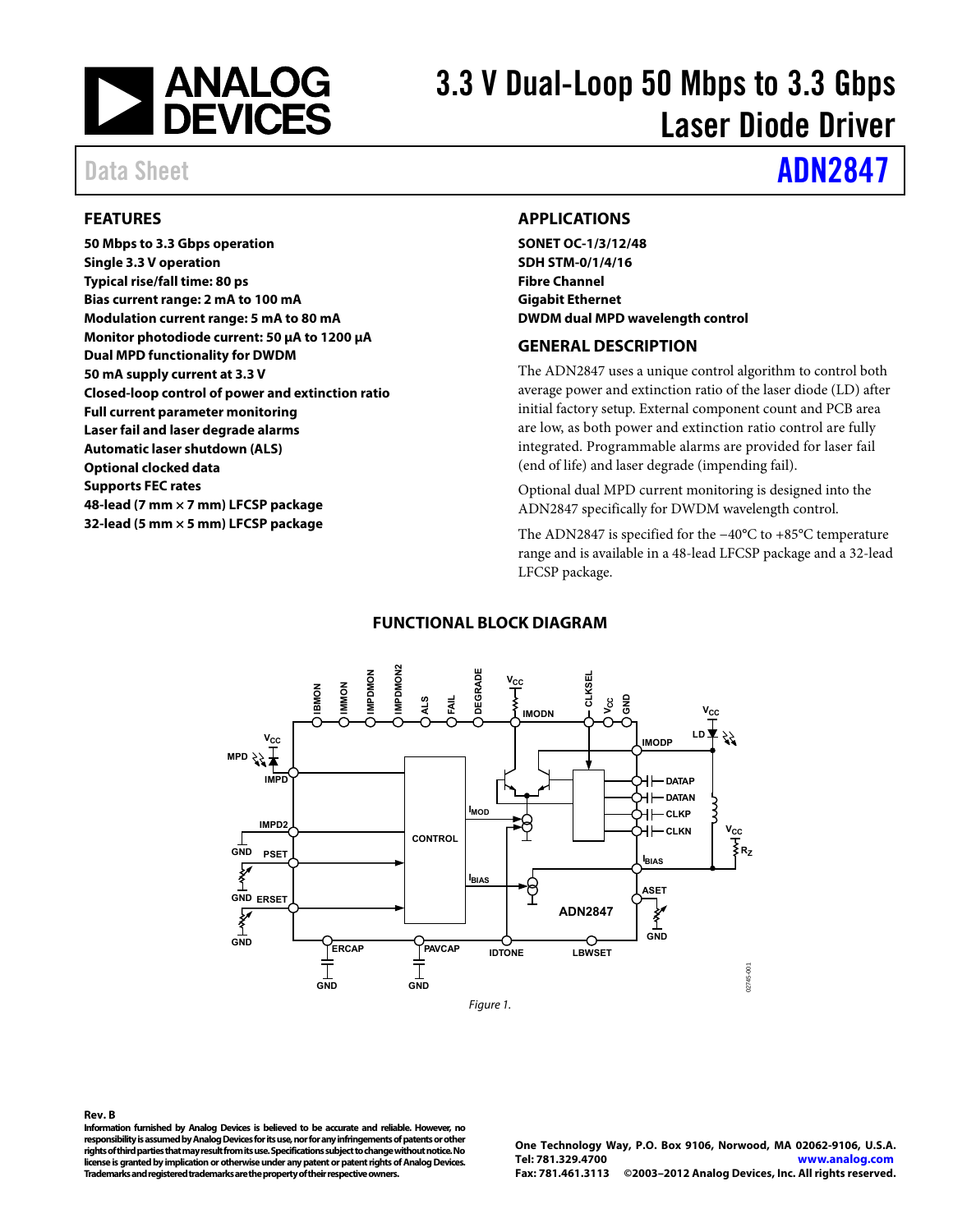<span id="page-0-1"></span><span id="page-0-0"></span>

# 3.3 V Dual-Loop 50 Mbps to 3.3 Gbps Laser Diode Driver

# Data Sheet **[ADN2847](www.analog.com/ADN2847)**

#### **FEATURES**

**50 Mbps to 3.3 Gbps operation Single 3.3 V operation Typical rise/fall time: 80 ps Bias current range: 2 mA to 100 mA Modulation current range: 5 mA to 80 mA Monitor photodiode current: 50 μA to 1200 μA Dual MPD functionality for DWDM 50 mA supply current at 3.3 V Closed-loop control of power and extinction ratio Full current parameter monitoring Laser fail and laser degrade alarms Automatic laser shutdown (ALS) Optional clocked data Supports FEC rates 48-lead (7 mm × 7 mm) LFCSP package 32-lead (5 mm × 5 mm) LFCSP package** 

#### **APPLICATIONS**

**SONET OC-1/3/12/48 SDH STM-0/1/4/16 Fibre Channel Gigabit Ethernet DWDM dual MPD wavelength control** 

#### **GENERAL DESCRIPTION**

The ADN2847 uses a unique control algorithm to control both average power and extinction ratio of the laser diode (LD) after initial factory setup. External component count and PCB area are low, as both power and extinction ratio control are fully integrated. Programmable alarms are provided for laser fail (end of life) and laser degrade (impending fail).

Optional dual MPD current monitoring is designed into the ADN2847 specifically for DWDM wavelength control.

The ADN2847 is specified for the −40°C to +85°C temperature range and is available in a 48-lead LFCSP package and a 32-lead LFCSP package.

#### **FUNCTIONAL BLOCK DIAGRAM**



#### **Rev. B**

**Information furnished by Analog Devices is believed to be accurate and reliable. However, no responsibility is assumed by Analog Devices for its use, nor for any infringements of patents or other rights of third parties that may result from its use. Specifications subject to change without notice. No license is granted by implication or otherwise under any patent or patent rights of Analog Devices. Trademarks and registered trademarks are the property of their respective owners.** 

**One Technology Way, P.O. Box 9106, Norwood, MA 02062-9106, U.S.A. Tel: 781.329.4700 www.analog.com Fax: 781.461.3113 ©2003–2012 Analog Devices, Inc. All rights reserved.**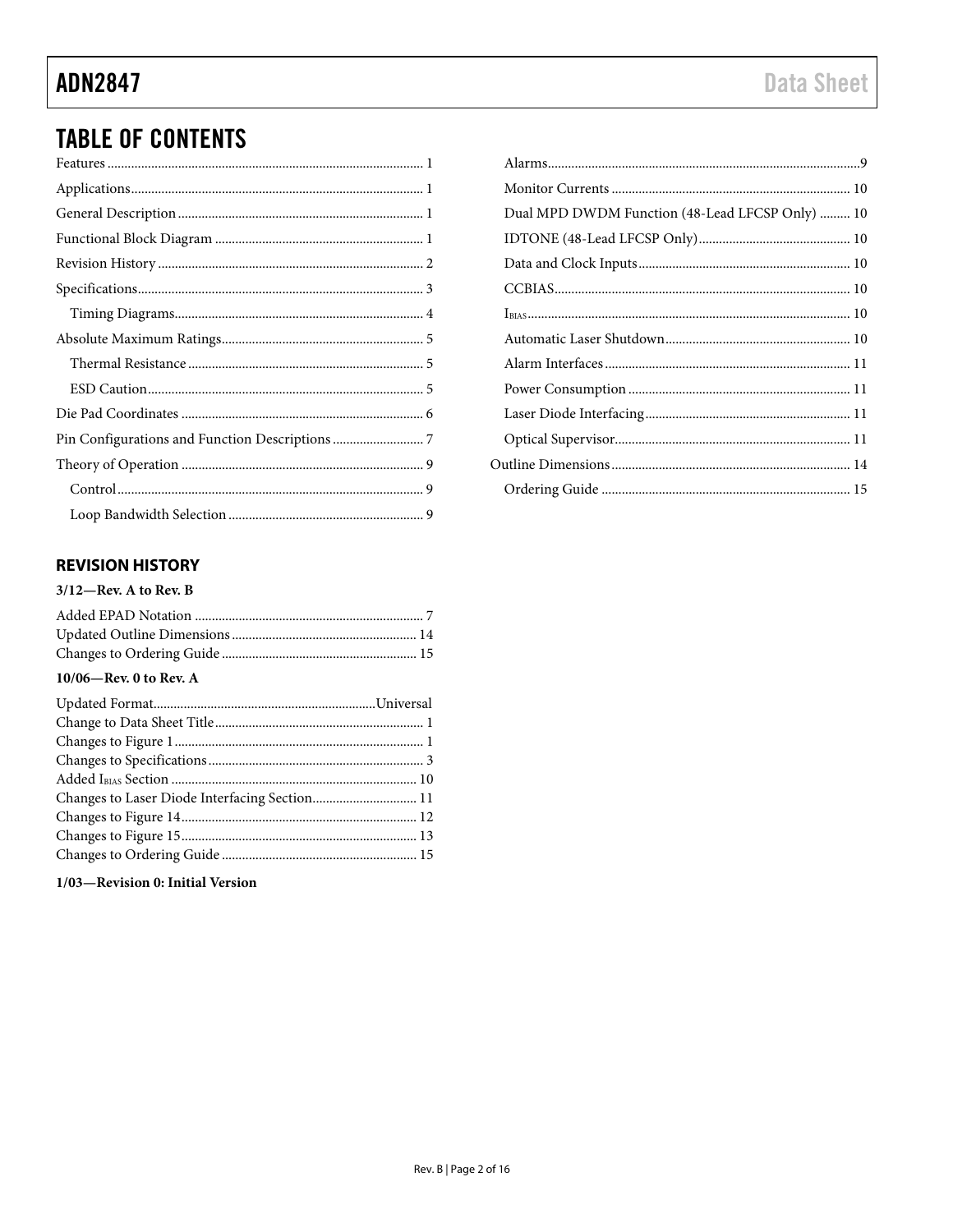# **TABLE OF CONTENTS**

### **REVISION HISTORY**

#### $3/12$ —Rev. A to Rev. B

#### 10/06-Rev. 0 to Rev. A

| Changes to Laser Diode Interfacing Section 11 |  |
|-----------------------------------------------|--|
|                                               |  |
|                                               |  |
|                                               |  |

1/03-Revision 0: Initial Version

| Dual MPD DWDM Function (48-Lead LFCSP Only)  10 |  |
|-------------------------------------------------|--|
|                                                 |  |
|                                                 |  |
|                                                 |  |
|                                                 |  |
|                                                 |  |
|                                                 |  |
|                                                 |  |
|                                                 |  |
|                                                 |  |
|                                                 |  |
|                                                 |  |
|                                                 |  |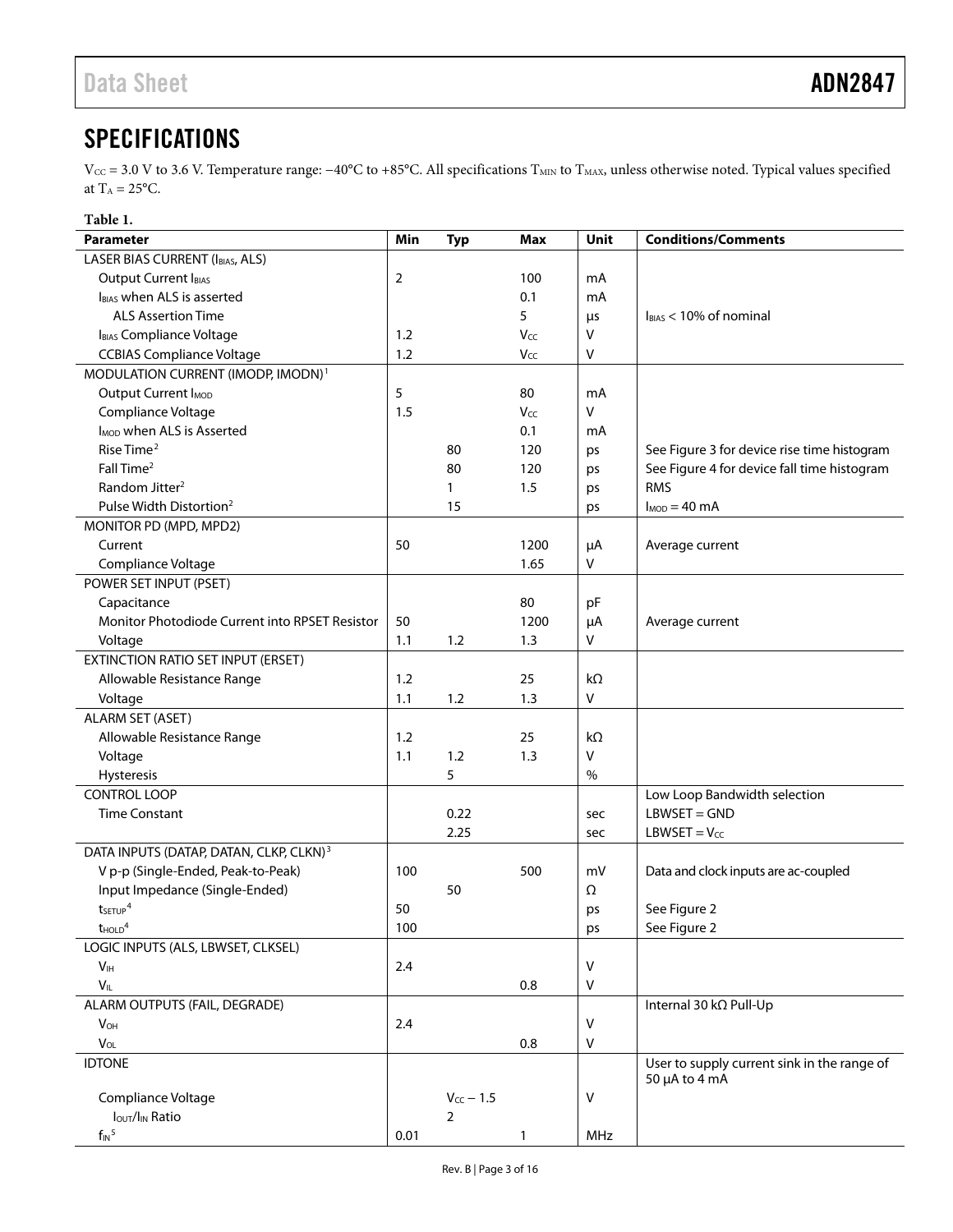# <span id="page-2-1"></span><span id="page-2-0"></span>**SPECIFICATIONS**

Vcc = 3.0 V to 3.6 V. Temperature range: −40°C to +85°C. All specifications T<sub>MIN</sub> to T<sub>MAX</sub>, unless otherwise noted. Typical values specified at  $T_A = 25$ °C.

| ı<br>D |
|--------|
|--------|

| <b>Parameter</b>                                    | Min  | <b>Typ</b>       | Max  | <b>Unit</b> | <b>Conditions/Comments</b>                                   |
|-----------------------------------------------------|------|------------------|------|-------------|--------------------------------------------------------------|
| LASER BIAS CURRENT (IBIAS, ALS)                     |      |                  |      |             |                                                              |
| Output Current IBIAS                                | 2    |                  | 100  | mA          |                                                              |
| IBIAS when ALS is asserted                          |      |                  | 0.1  | mA          |                                                              |
| <b>ALS Assertion Time</b>                           |      |                  | 5    | μs          | $I_{BIAS}$ < 10% of nominal                                  |
| IBIAS Compliance Voltage                            | 1.2  |                  | Vcc  | $\vee$      |                                                              |
| <b>CCBIAS Compliance Voltage</b>                    | 1.2  |                  | Vcc  | v           |                                                              |
| MODULATION CURRENT (IMODP, IMODN) <sup>1</sup>      |      |                  |      |             |                                                              |
| Output Current I <sub>MOD</sub>                     | 5    |                  | 80   | mA          |                                                              |
| Compliance Voltage                                  | 1.5  |                  | Vcc  | V           |                                                              |
| I <sub>MOD</sub> when ALS is Asserted               |      |                  | 0.1  | mA          |                                                              |
| Rise Time <sup>2</sup>                              |      | 80               | 120  | ps          | See Figure 3 for device rise time histogram                  |
| Fall Time <sup>2</sup>                              |      | 80               | 120  | ps          | See Figure 4 for device fall time histogram                  |
| Random Jitter <sup>2</sup>                          |      | 1                | 1.5  | ps          | <b>RMS</b>                                                   |
| Pulse Width Distortion <sup>2</sup>                 |      | 15               |      | ps          | $I_{MOD} = 40$ mA                                            |
| MONITOR PD (MPD, MPD2)                              |      |                  |      |             |                                                              |
| Current                                             | 50   |                  | 1200 | μA          | Average current                                              |
| Compliance Voltage                                  |      |                  | 1.65 | v           |                                                              |
| POWER SET INPUT (PSET)                              |      |                  |      |             |                                                              |
| Capacitance                                         |      |                  | 80   | pF          |                                                              |
| Monitor Photodiode Current into RPSET Resistor      | 50   |                  | 1200 | $\mu$ A     | Average current                                              |
| Voltage                                             | 1.1  | 1.2              | 1.3  | V           |                                                              |
| EXTINCTION RATIO SET INPUT (ERSET)                  |      |                  |      |             |                                                              |
| Allowable Resistance Range                          | 1.2  |                  | 25   | $k\Omega$   |                                                              |
| Voltage                                             | 1.1  | 1.2              | 1.3  | V           |                                                              |
| <b>ALARM SET (ASET)</b>                             |      |                  |      |             |                                                              |
| Allowable Resistance Range                          | 1.2  |                  | 25   | $k\Omega$   |                                                              |
| Voltage                                             | 1.1  | 1.2              | 1.3  | V           |                                                              |
| Hysteresis                                          |      | 5                |      | $\%$        |                                                              |
| <b>CONTROL LOOP</b>                                 |      |                  |      |             | Low Loop Bandwidth selection                                 |
| <b>Time Constant</b>                                |      | 0.22             |      | sec         | $LBWSET = GND$                                               |
|                                                     |      | 2.25             |      | sec         | $LBWSET = V_{CC}$                                            |
| DATA INPUTS (DATAP, DATAN, CLKP, CLKN) <sup>3</sup> |      |                  |      |             |                                                              |
| V p-p (Single-Ended, Peak-to-Peak)                  | 100  |                  | 500  | mV          | Data and clock inputs are ac-coupled                         |
| Input Impedance (Single-Ended)                      |      | 50               |      | Ω           |                                                              |
| tseTUP <sup>4</sup>                                 | 50   |                  |      |             |                                                              |
|                                                     |      |                  |      | ps          | See Figure 2                                                 |
| <b>THOLD</b> <sup>+</sup>                           | 100  |                  |      | ps          | See Figure 2                                                 |
| LOGIC INPUTS (ALS, LBWSET, CLKSEL)                  |      |                  |      | v           |                                                              |
| V <sub>IH</sub>                                     | 2.4  |                  |      |             |                                                              |
| $V_{IL}$                                            |      |                  | 0.8  | V           |                                                              |
| ALARM OUTPUTS (FAIL, DEGRADE)                       |      |                  |      | $\vee$      | Internal 30 kΩ Pull-Up                                       |
| $V_{OH}$                                            | 2.4  |                  |      |             |                                                              |
| $V_{OL}$                                            |      |                  | 0.8  | V           |                                                              |
| <b>IDTONE</b>                                       |      |                  |      |             | User to supply current sink in the range of<br>50 µA to 4 mA |
| Compliance Voltage                                  |      | $V_{CC}$ $-$ 1.5 |      | v           |                                                              |
| <b>Iout/IIN Ratio</b>                               |      | $\overline{2}$   |      |             |                                                              |
| $f_{IN}$ <sup>5</sup>                               | 0.01 |                  | 1    | MHz         |                                                              |
|                                                     |      |                  |      |             |                                                              |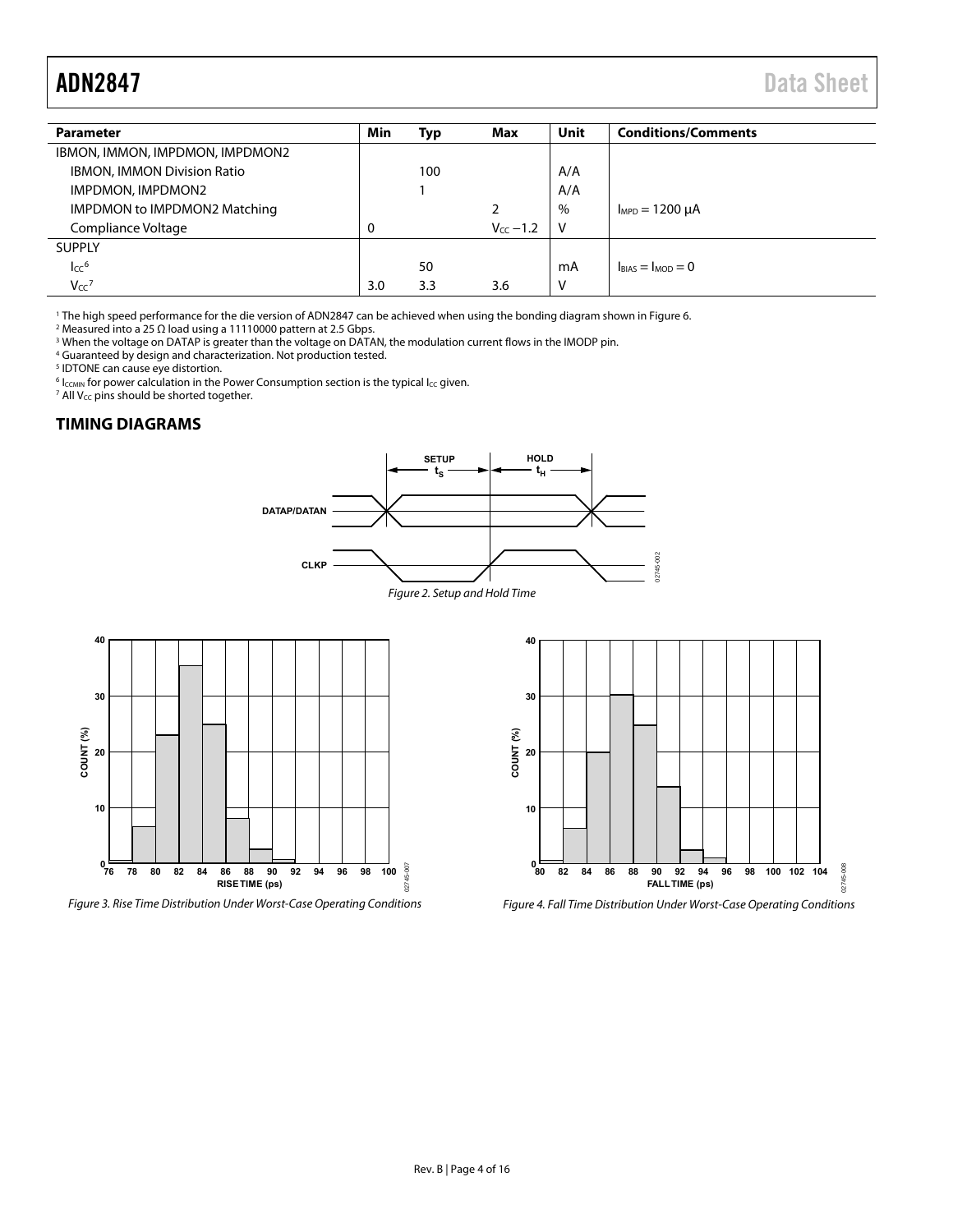<span id="page-3-0"></span>

| <b>Parameter</b>                   | Min      | Typ | Max           | <b>Unit</b> | <b>Conditions/Comments</b> |
|------------------------------------|----------|-----|---------------|-------------|----------------------------|
| IBMON, IMMON, IMPDMON, IMPDMON2    |          |     |               |             |                            |
| <b>IBMON, IMMON Division Ratio</b> |          | 100 |               | A/A         |                            |
| IMPDMON, IMPDMON2                  |          |     |               | A/A         |                            |
| IMPDMON to IMPDMON2 Matching       |          |     | 2             | $\%$        | $I_{MPD} = 1200 \mu A$     |
| Compliance Voltage                 | $\Omega$ |     | $V_{cc}$ -1.2 | V           |                            |
| <b>SUPPLY</b>                      |          |     |               |             |                            |
| $\mathsf{Icc}^6$                   |          | 50  |               | mA          | $I_{BIAS} = I_{MOD} = 0$   |
| $V_{CC}$ <sup>7</sup>              | 3.0      | 3.3 | 3.6           | V           |                            |

<sup>1</sup> The high speed performance for the die version of ADN2847 can be achieved when using the bonding diagram shown in Figure 6. <sup>1</sup> The high speed performance for the die version of ADN2847 can be achieved when using the bonding diagram shown in Figure 6.<br><sup>2</sup> Measured into a 25.0 load using a 11110000 pattern at 2.5 Gbps.

<sup>2</sup> Measured into a 25 Ω load using a 11110000 pattern at 2.5 Gbps.<br><sup>3</sup> When the voltage on DATAP is greater than the voltage on DATA <sup>3</sup> When the voltage on DATAP is greater than the voltage on DATAN, the modulation current flows in the IMODP pin.<br><sup>4</sup> Guaranteed by design and characterization. Not production tested

Guaranteed by design and characterization. Not production tested.

<sup>5</sup> IDTONE can cause eye distortion.

 $^6$  l<sub>CCMIN</sub> for power calculation in th[e Power Consumption s](#page-10-1)ection is the typical l<sub>CC</sub> given.<br><sup>7</sup> All V<sub>cc</sub> nins should be shorted together

<sup>7</sup> All  $V_{CC}$  pins should be shorted together.

#### **TIMING DIAGRAMS**



<span id="page-3-3"></span>



<span id="page-3-2"></span><span id="page-3-1"></span>Figure 3. Rise Time Distribution Under Worst-Case Operating Conditions Figure 4. Fall Time Distribution Under Worst-Case Operating Conditions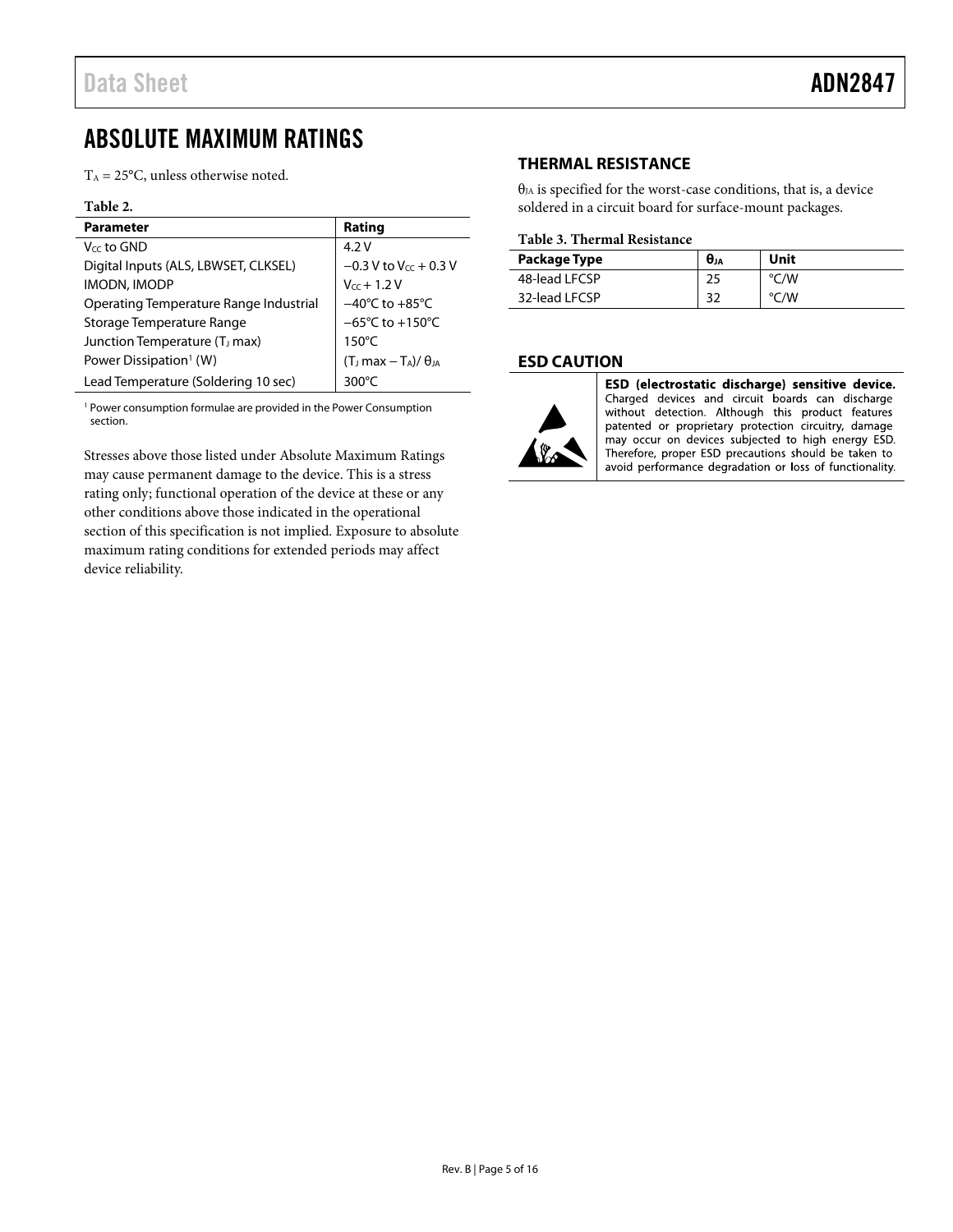# <span id="page-4-1"></span><span id="page-4-0"></span>ABSOLUTE MAXIMUM RATINGS

 $T_A = 25$ °C, unless otherwise noted.

#### **Table 2.**

| <b>Parameter</b>                          | Rating                               |
|-------------------------------------------|--------------------------------------|
| V <sub>cc</sub> to GND                    | 4.2V                                 |
| Digital Inputs (ALS, LBWSET, CLKSEL)      | $-0.3$ V to V <sub>cc</sub> + 0.3 V  |
| <b>IMODN, IMODP</b>                       | $V_{cc}$ + 1.2 V                     |
| Operating Temperature Range Industrial    | $-40^{\circ}$ C to $+85^{\circ}$ C   |
| Storage Temperature Range                 | $-65^{\circ}$ C to +150 $^{\circ}$ C |
| Junction Temperature (T <sub>J</sub> max) | $150^{\circ}$ C                      |
| Power Dissipation <sup>1</sup> (W)        | $(TJ max - TA)/\thetaJA$             |
| Lead Temperature (Soldering 10 sec)       | 300 $\degree$ C                      |

<sup>1</sup> Power consumption formulae are provided in the [Power Consumption](#page-10-2) section.

Stresses above those listed under Absolute Maximum Ratings may cause permanent damage to the device. This is a stress rating only; functional operation of the device at these or any other conditions above those indicated in the operational section of this specification is not implied. Exposure to absolute maximum rating conditions for extended periods may affect device reliability.

#### **THERMAL RESISTANCE**

 $\theta_{JA}$  is specified for the worst-case conditions, that is, a device soldered in a circuit board for surface-mount packages.

#### **Table 3. Thermal Resistance**

| Package Type  | $\theta_{JA}$ | Unit |
|---------------|---------------|------|
| 48-lead LFCSP | 25            | °C/W |
| 32-lead LFCSP | 32            | °C/W |

#### **ESD CAUTION**



ESD (electrostatic discharge) sensitive device. Charged devices and circuit boards can discharge without detection. Although this product features patented or proprietary protection circuitry, damage may occur on devices subjected to high energy ESD. Therefore, proper ESD precautions should be taken to avoid performance degradation or loss of functionality.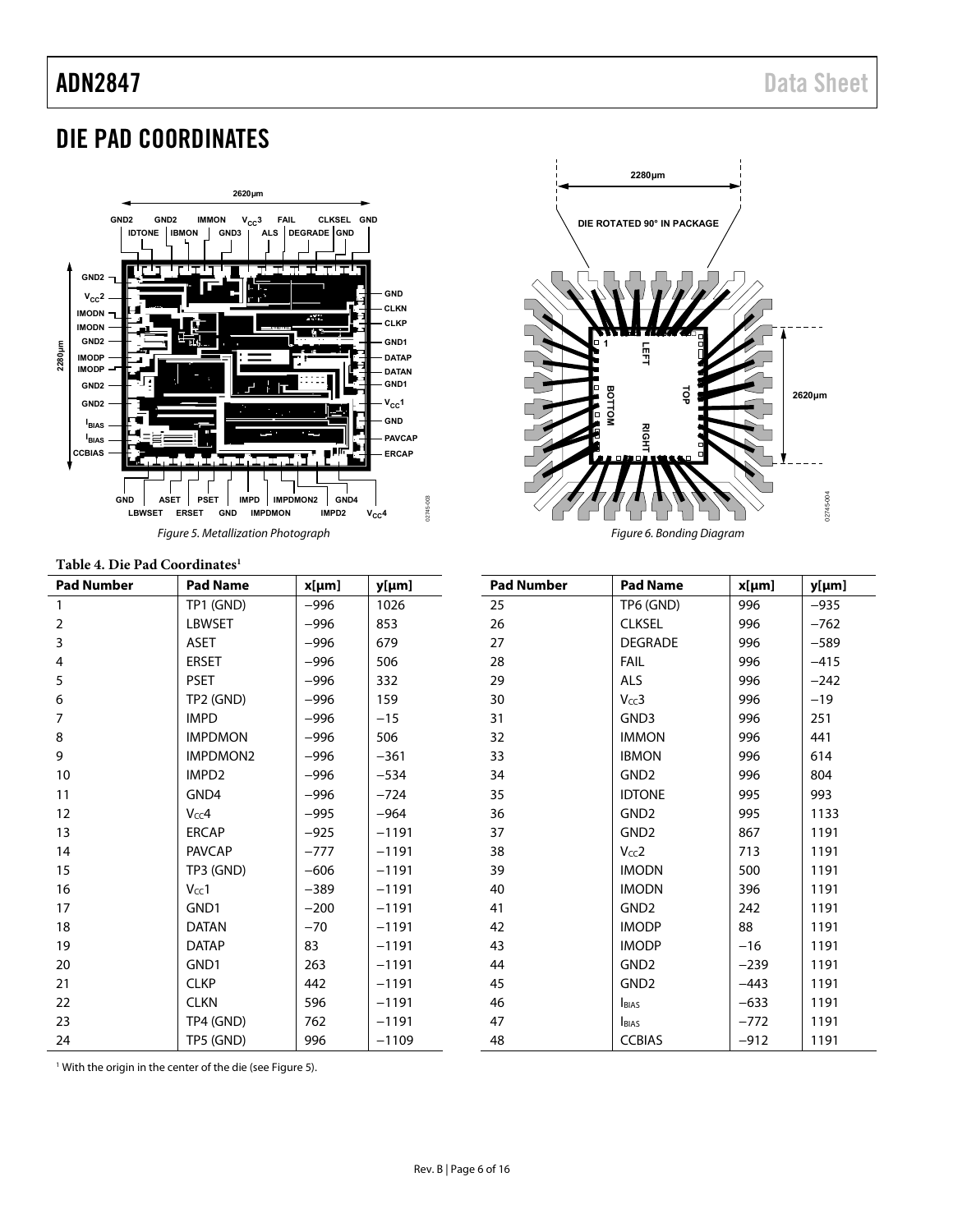# <span id="page-5-1"></span><span id="page-5-0"></span>DIE PAD COORDINATES



### <span id="page-5-2"></span>**Table 4. Die Pad Coordinates1**

| Table 7. Die 1 au Coordinates |                   |        |         |  |  |  |  |
|-------------------------------|-------------------|--------|---------|--|--|--|--|
| <b>Pad Number</b>             | <b>Pad Name</b>   | x[µm]  | y[µm]   |  |  |  |  |
| 1                             | TP1 (GND)         | $-996$ | 1026    |  |  |  |  |
| $\overline{2}$                | <b>LBWSET</b>     | $-996$ | 853     |  |  |  |  |
| 3                             | <b>ASET</b>       | $-996$ | 679     |  |  |  |  |
| $\overline{\mathbf{4}}$       | <b>ERSET</b>      | $-996$ | 506     |  |  |  |  |
| 5                             | <b>PSET</b>       | $-996$ | 332     |  |  |  |  |
| 6                             | TP2 (GND)         | $-996$ | 159     |  |  |  |  |
| $\overline{7}$                | <b>IMPD</b>       | $-996$ | $-15$   |  |  |  |  |
| 8                             | <b>IMPDMON</b>    | $-996$ | 506     |  |  |  |  |
| 9                             | <b>IMPDMON2</b>   | $-996$ | $-361$  |  |  |  |  |
| 10                            | IMPD <sub>2</sub> | $-996$ | $-534$  |  |  |  |  |
| 11                            | GND4              | $-996$ | $-724$  |  |  |  |  |
| 12                            | Vcc4              | $-995$ | $-964$  |  |  |  |  |
| 13                            | <b>ERCAP</b>      | $-925$ | $-1191$ |  |  |  |  |
| 14                            | <b>PAVCAP</b>     | $-777$ | $-1191$ |  |  |  |  |
| 15                            | TP3 (GND)         | $-606$ | $-1191$ |  |  |  |  |
| 16                            | $V_{cc}$ 1        | $-389$ | $-1191$ |  |  |  |  |
| 17                            | GND1              | $-200$ | $-1191$ |  |  |  |  |
| 18                            | <b>DATAN</b>      | $-70$  | $-1191$ |  |  |  |  |
| 19                            | <b>DATAP</b>      | 83     | $-1191$ |  |  |  |  |
| 20                            | GND1              | 263    | $-1191$ |  |  |  |  |
| 21                            | <b>CLKP</b>       | 442    | $-1191$ |  |  |  |  |
| 22                            | <b>CLKN</b>       | 596    | $-1191$ |  |  |  |  |
| 23                            | TP4 (GND)         | 762    | $-1191$ |  |  |  |  |
| 24                            | TP5 (GND)         | 996    | $-1109$ |  |  |  |  |



| <b>Pad Number</b> | <b>Pad Name</b>  | x[µm]  | y[µm]  |
|-------------------|------------------|--------|--------|
| 25                | TP6 (GND)        | 996    | $-935$ |
| 26                | <b>CLKSEL</b>    | 996    | $-762$ |
| 27                | <b>DEGRADE</b>   | 996    | $-589$ |
| 28                | FAIL             | 996    | $-415$ |
| 29                | <b>ALS</b>       | 996    | $-242$ |
| 30                | Vcc3             | 996    | $-19$  |
| 31                | GND3             | 996    | 251    |
| 32                | <b>IMMON</b>     | 996    | 441    |
| 33                | <b>IBMON</b>     | 996    | 614    |
| 34                | GND <sub>2</sub> | 996    | 804    |
| 35                | <b>IDTONE</b>    | 995    | 993    |
| 36                | GND <sub>2</sub> | 995    | 1133   |
| 37                | GND <sub>2</sub> | 867    | 1191   |
| 38                | Vcc2             | 713    | 1191   |
| 39                | <b>IMODN</b>     | 500    | 1191   |
| 40                | <b>IMODN</b>     | 396    | 1191   |
| 41                | GND <sub>2</sub> | 242    | 1191   |
| 42                | <b>IMODP</b>     | 88     | 1191   |
| 43                | <b>IMODP</b>     | $-16$  | 1191   |
| 44                | GND <sub>2</sub> | $-239$ | 1191   |
| 45                | GND <sub>2</sub> | $-443$ | 1191   |
| 46                | <b>BIAS</b>      | $-633$ | 1191   |
| 47                | <b>BIAS</b>      | $-772$ | 1191   |
| 48                | <b>CCBIAS</b>    | $-912$ | 1191   |

1 With the origin in the center of the die (see [Figure 5](#page-5-2)).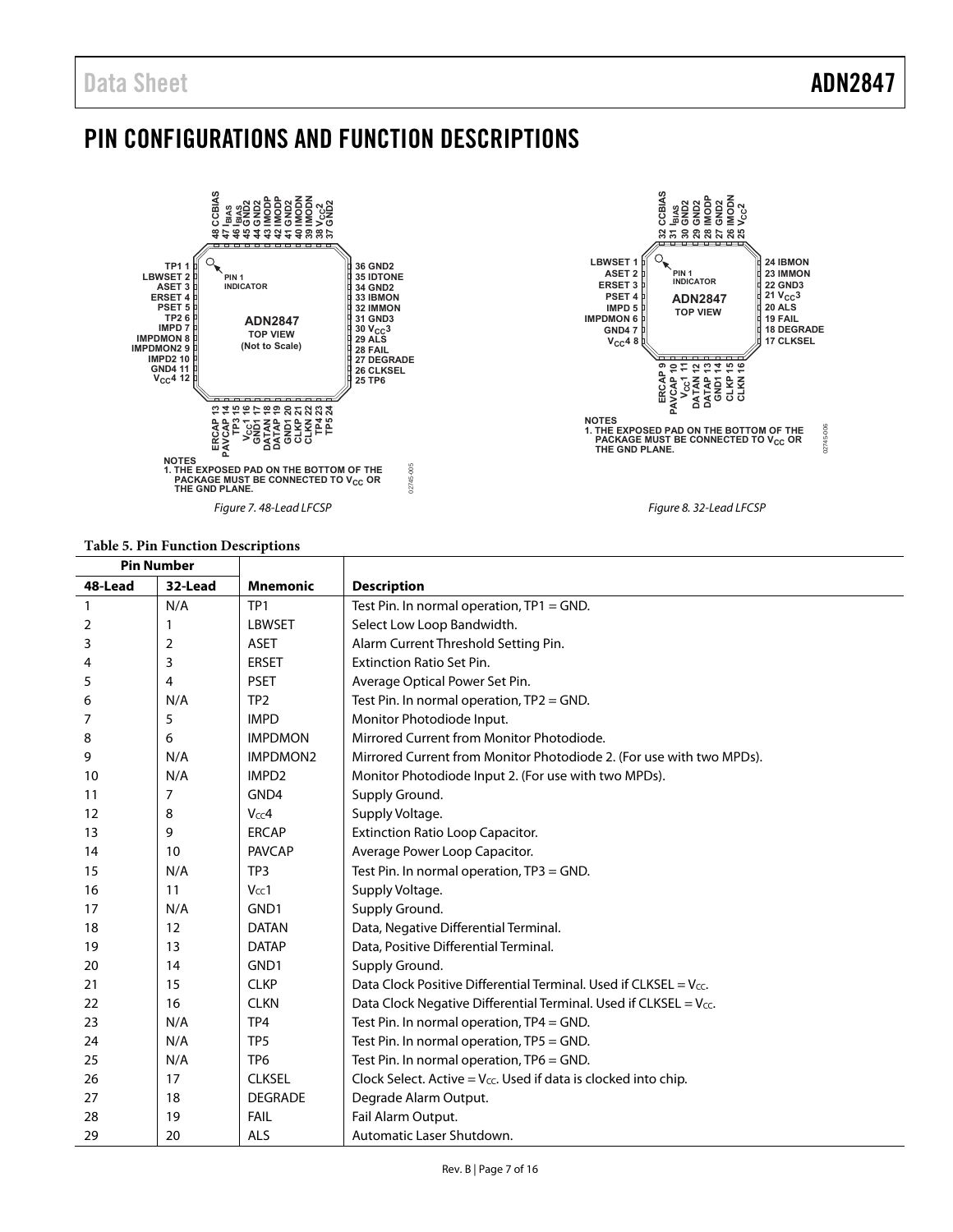## <span id="page-6-0"></span>PIN CONFIGURATIONS AND FUNCTION DESCRIPTIONS



## **Table 5. Pin Function Descriptions**

| <b>Pin Number</b> |         |                   |                                                                               |
|-------------------|---------|-------------------|-------------------------------------------------------------------------------|
| 48-Lead           | 32-Lead | <b>Mnemonic</b>   | <b>Description</b>                                                            |
| $\mathbf{1}$      | N/A     | TP <sub>1</sub>   | Test Pin. In normal operation, TP1 = GND.                                     |
| 2                 | 1       | <b>LBWSET</b>     | Select Low Loop Bandwidth.                                                    |
| 3                 | 2       | <b>ASET</b>       | Alarm Current Threshold Setting Pin.                                          |
| 4                 | 3       | <b>ERSET</b>      | <b>Extinction Ratio Set Pin.</b>                                              |
| 5                 | 4       | <b>PSET</b>       | Average Optical Power Set Pin.                                                |
| 6                 | N/A     | TP <sub>2</sub>   | Test Pin. In normal operation, $TP2 = GND$ .                                  |
| 7                 | 5       | <b>IMPD</b>       | Monitor Photodiode Input.                                                     |
| 8                 | 6       | <b>IMPDMON</b>    | Mirrored Current from Monitor Photodiode.                                     |
| 9                 | N/A     | <b>IMPDMON2</b>   | Mirrored Current from Monitor Photodiode 2. (For use with two MPDs).          |
| 10                | N/A     | IMPD <sub>2</sub> | Monitor Photodiode Input 2. (For use with two MPDs).                          |
| 11                | 7       | GND4              | Supply Ground.                                                                |
| 12                | 8       | Vcc4              | Supply Voltage.                                                               |
| 13                | 9       | <b>ERCAP</b>      | <b>Extinction Ratio Loop Capacitor.</b>                                       |
| 14                | 10      | <b>PAVCAP</b>     | Average Power Loop Capacitor.                                                 |
| 15                | N/A     | TP3               | Test Pin. In normal operation, TP3 = GND.                                     |
| 16                | 11      | $V_{CC}1$         | Supply Voltage.                                                               |
| 17                | N/A     | GND1              | Supply Ground.                                                                |
| 18                | 12      | <b>DATAN</b>      | Data, Negative Differential Terminal.                                         |
| 19                | 13      | <b>DATAP</b>      | Data, Positive Differential Terminal.                                         |
| 20                | 14      | GND1              | Supply Ground.                                                                |
| 21                | 15      | <b>CLKP</b>       | Data Clock Positive Differential Terminal. Used if CLKSEL = $V_{cc}$ .        |
| 22                | 16      | <b>CLKN</b>       | Data Clock Negative Differential Terminal. Used if CLKSEL = $V_{\text{CC}}$ . |
| 23                | N/A     | TP4               | Test Pin. In normal operation, TP4 = GND.                                     |
| 24                | N/A     | TP <sub>5</sub>   | Test Pin. In normal operation, TP5 = GND.                                     |
| 25                | N/A     | TP <sub>6</sub>   | Test Pin. In normal operation, TP6 = GND.                                     |
| 26                | 17      | <b>CLKSEL</b>     | Clock Select. Active = $V_{cc}$ . Used if data is clocked into chip.          |
| 27                | 18      | <b>DEGRADE</b>    | Degrade Alarm Output.                                                         |
| 28                | 19      | <b>FAIL</b>       | Fail Alarm Output.                                                            |
| 29                | 20      | <b>ALS</b>        | Automatic Laser Shutdown.                                                     |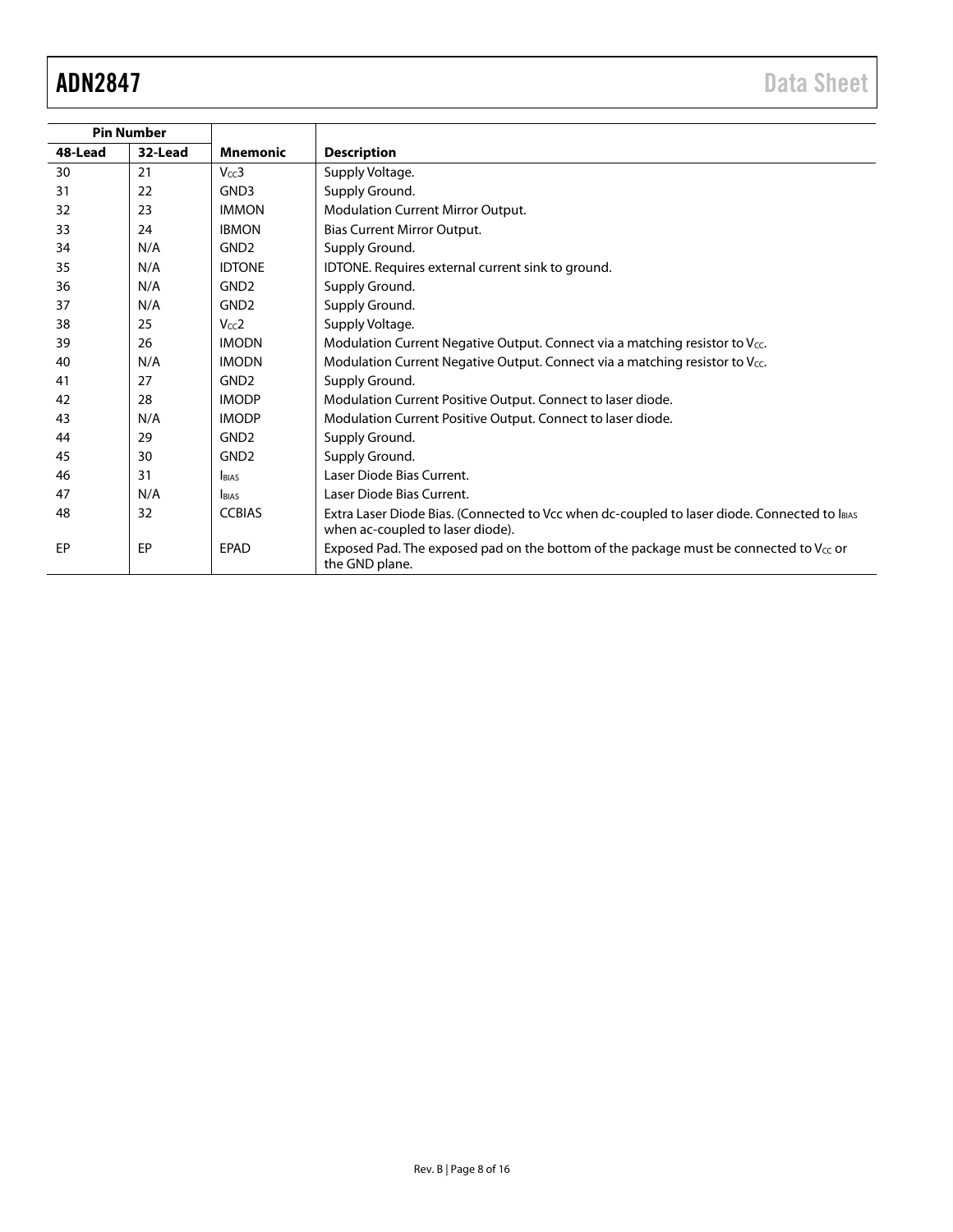| <b>Pin Number</b> |         |                  |                                                                                                                                  |
|-------------------|---------|------------------|----------------------------------------------------------------------------------------------------------------------------------|
| 48-Lead           | 32-Lead | <b>Mnemonic</b>  | <b>Description</b>                                                                                                               |
| 30                | 21      | $V_{CC}$ 3       | Supply Voltage.                                                                                                                  |
| 31                | 22      | GND3             | Supply Ground.                                                                                                                   |
| 32                | 23      | <b>IMMON</b>     | Modulation Current Mirror Output.                                                                                                |
| 33                | 24      | <b>IBMON</b>     | Bias Current Mirror Output.                                                                                                      |
| 34                | N/A     | GND <sub>2</sub> | Supply Ground.                                                                                                                   |
| 35                | N/A     | <b>IDTONE</b>    | IDTONE. Requires external current sink to ground.                                                                                |
| 36                | N/A     | GND <sub>2</sub> | Supply Ground.                                                                                                                   |
| 37                | N/A     | GND <sub>2</sub> | Supply Ground.                                                                                                                   |
| 38                | 25      | Vcc2             | Supply Voltage.                                                                                                                  |
| 39                | 26      | <b>IMODN</b>     | Modulation Current Negative Output. Connect via a matching resistor to Vcc.                                                      |
| 40                | N/A     | <b>IMODN</b>     | Modulation Current Negative Output. Connect via a matching resistor to $V_{CC}$ .                                                |
| 41                | 27      | GND <sub>2</sub> | Supply Ground.                                                                                                                   |
| 42                | 28      | <b>IMODP</b>     | Modulation Current Positive Output. Connect to laser diode.                                                                      |
| 43                | N/A     | <b>IMODP</b>     | Modulation Current Positive Output. Connect to laser diode.                                                                      |
| 44                | 29      | GND <sub>2</sub> | Supply Ground.                                                                                                                   |
| 45                | 30      | GND <sub>2</sub> | Supply Ground.                                                                                                                   |
| 46                | 31      | <b>IBIAS</b>     | Laser Diode Bias Current.                                                                                                        |
| 47                | N/A     | <b>BIAS</b>      | Laser Diode Bias Current.                                                                                                        |
| 48                | 32      | <b>CCBIAS</b>    | Extra Laser Diode Bias. (Connected to Vcc when dc-coupled to laser diode. Connected to lBIAS<br>when ac-coupled to laser diode). |
| EP                | EP      | <b>EPAD</b>      | Exposed Pad. The exposed pad on the bottom of the package must be connected to V <sub>cc</sub> or<br>the GND plane.              |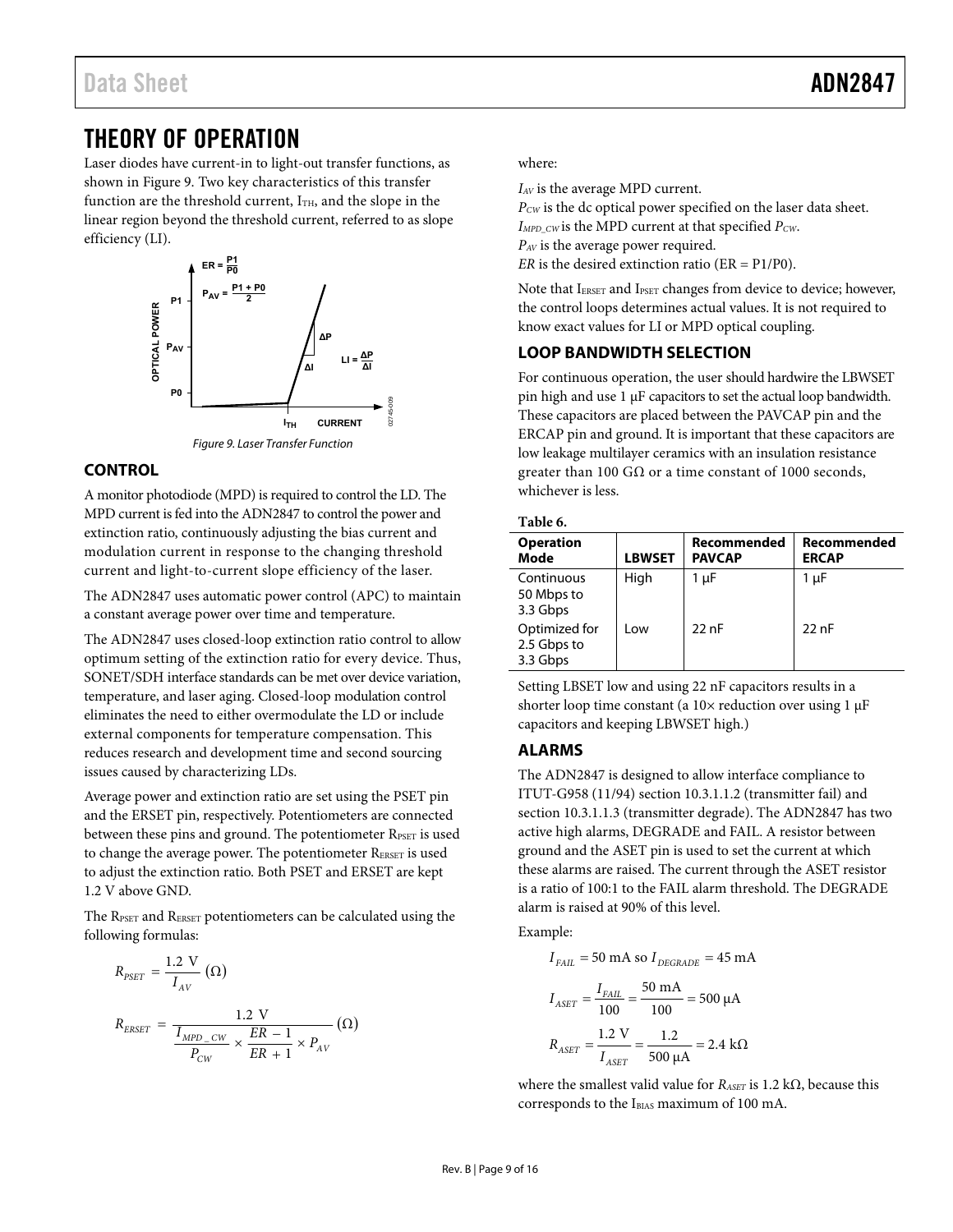## <span id="page-8-1"></span><span id="page-8-0"></span>THEORY OF OPERATION

Laser diodes have current-in to light-out transfer functions, as shown in [Figure 9.](#page-8-2) Two key characteristics of this transfer function are the threshold current,  $I<sub>TH</sub>$ , and the slope in the linear region beyond the threshold current, referred to as slope efficiency (LI).



#### Figure 9. Laser Transfer Function

#### <span id="page-8-2"></span>**CONTROL**

A monitor photodiode (MPD) is required to control the LD. The MPD current is fed into the ADN2847 to control the power and extinction ratio, continuously adjusting the bias current and modulation current in response to the changing threshold current and light-to-current slope efficiency of the laser.

The ADN2847 uses automatic power control (APC) to maintain a constant average power over time and temperature.

The ADN2847 uses closed-loop extinction ratio control to allow optimum setting of the extinction ratio for every device. Thus, SONET/SDH interface standards can be met over device variation, temperature, and laser aging. Closed-loop modulation control eliminates the need to either overmodulate the LD or include external components for temperature compensation. This reduces research and development time and second sourcing issues caused by characterizing LDs.

Average power and extinction ratio are set using the PSET pin and the ERSET pin, respectively. Potentiometers are connected between these pins and ground. The potentiometer RPSET is used to change the average power. The potentiometer RERSET is used to adjust the extinction ratio. Both PSET and ERSET are kept 1.2 V above GND.

The RPSET and RERSET potentiometers can be calculated using the following formulas:

$$
\begin{aligned} R_{PSET} &= \frac{1.2 \text{ V}}{I_{AV}} \left( \Omega \right) \\ R_{EREF} &= \frac{1.2 \text{ V}}{\frac{I_{MPD\_CW}}{P_{CW}} \times \frac{ER-1}{ER+1} \times P_{AV}} \left( \Omega \right) \end{aligned}
$$

where:

*IAV* is the average MPD current.

*PCW* is the dc optical power specified on the laser data sheet. *IMPD\_CW* is the MPD current at that specified *PCW*. *PAV* is the average power required. *ER* is the desired extinction ratio ( $ER = P1/P0$ ).

Note that IERSET and IPSET changes from device to device; however, the control loops determines actual values. It is not required to know exact values for LI or MPD optical coupling.

#### **LOOP BANDWIDTH SELECTION**

For continuous operation, the user should hardwire the LBWSET pin high and use 1 μF capacitors to set the actual loop bandwidth. These capacitors are placed between the PAVCAP pin and the ERCAP pin and ground. It is important that these capacitors are low leakage multilayer ceramics with an insulation resistance greater than 100 G $\Omega$  or a time constant of 1000 seconds, whichever is less.

#### **Table 6.**

| <b>Operation</b><br>Mode                 | <b>LBWSET</b> | Recommended<br><b>PAVCAP</b> | Recommended<br><b>ERCAP</b> |  |  |  |  |  |
|------------------------------------------|---------------|------------------------------|-----------------------------|--|--|--|--|--|
| Continuous<br>50 Mbps to<br>3.3 Gbps     | High          | 1 µF                         | 1 µF                        |  |  |  |  |  |
| Optimized for<br>2.5 Gbps to<br>3.3 Gbps | Low           | 22nF                         | 22nF                        |  |  |  |  |  |

Setting LBSET low and using 22 nF capacitors results in a shorter loop time constant (a 10× reduction over using 1 μF capacitors and keeping LBWSET high.)

#### **ALARMS**

The ADN2847 is designed to allow interface compliance to ITUT-G958 (11/94) section 10.3.1.1.2 (transmitter fail) and section 10.3.1.1.3 (transmitter degrade). The ADN2847 has two active high alarms, DEGRADE and FAIL. A resistor between ground and the ASET pin is used to set the current at which these alarms are raised. The current through the ASET resistor is a ratio of 100:1 to the FAIL alarm threshold. The DEGRADE alarm is raised at 90% of this level.

Example:

$$
I_{FAIL} = 50 \text{ mA so } I_{DEGRADE} = 45 \text{ mA}
$$

$$
I_{ASET} = \frac{I_{FAIL}}{100} = \frac{50 \text{ mA}}{100} = 500 \text{ }\mu\text{A}
$$

$$
R_{ASET} = \frac{1.2 \text{ V}}{I_{ASET}} = \frac{1.2}{500 \text{ }\mu\text{A}} = 2.4 \text{ k}\Omega
$$

where the smallest valid value for *RASET* is 1.2 kΩ, because this corresponds to the IBIAS maximum of 100 mA.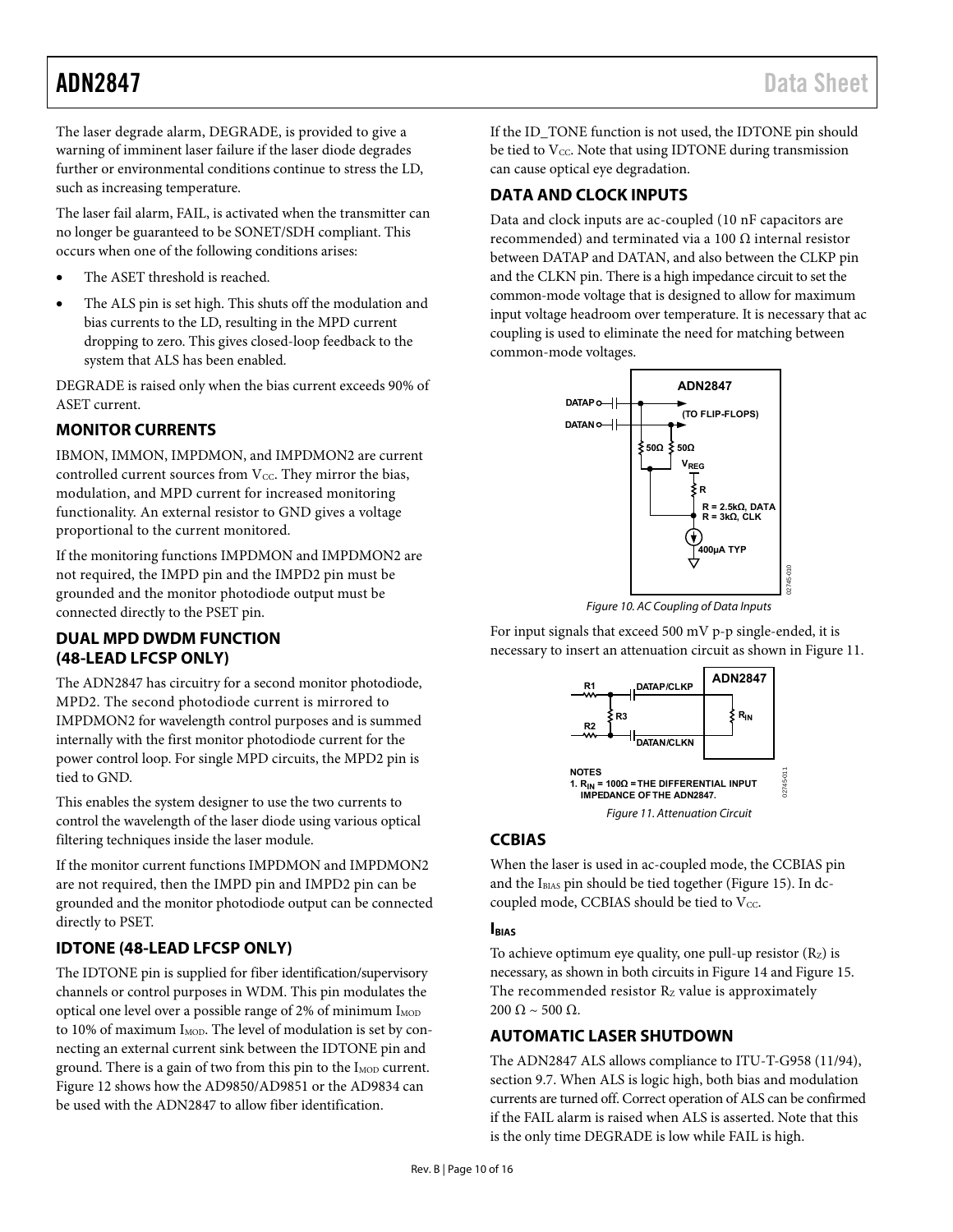<span id="page-9-0"></span>The laser degrade alarm, DEGRADE, is provided to give a warning of imminent laser failure if the laser diode degrades further or environmental conditions continue to stress the LD, such as increasing temperature.

The laser fail alarm, FAIL, is activated when the transmitter can no longer be guaranteed to be SONET/SDH compliant. This occurs when one of the following conditions arises:

- The ASET threshold is reached.
- The ALS pin is set high. This shuts off the modulation and bias currents to the LD, resulting in the MPD current dropping to zero. This gives closed-loop feedback to the system that ALS has been enabled.

DEGRADE is raised only when the bias current exceeds 90% of ASET current.

#### **MONITOR CURRENTS**

IBMON, IMMON, IMPDMON, and IMPDMON2 are current controlled current sources from  $V_{CC}$ . They mirror the bias, modulation, and MPD current for increased monitoring functionality. An external resistor to GND gives a voltage proportional to the current monitored.

If the monitoring functions IMPDMON and IMPDMON2 are not required, the IMPD pin and the IMPD2 pin must be grounded and the monitor photodiode output must be connected directly to the PSET pin.

#### **DUAL MPD DWDM FUNCTION (48-LEAD LFCSP ONLY)**

The ADN2847 has circuitry for a second monitor photodiode, MPD2. The second photodiode current is mirrored to IMPDMON2 for wavelength control purposes and is summed internally with the first monitor photodiode current for the power control loop. For single MPD circuits, the MPD2 pin is tied to GND.

<span id="page-9-1"></span>This enables the system designer to use the two currents to control the wavelength of the laser diode using various optical filtering techniques inside the laser module.

If the monitor current functions IMPDMON and IMPDMON2 are not required, then the IMPD pin and IMPD2 pin can be grounded and the monitor photodiode output can be connected directly to PSET.

### **IDTONE (48-LEAD LFCSP ONLY)**

The IDTONE pin is supplied for fiber identification/supervisory channels or control purposes in WDM. This pin modulates the optical one level over a possible range of 2% of minimum I<sub>MOD</sub> to 10% of maximum I<sub>MOD</sub>. The level of modulation is set by connecting an external current sink between the IDTONE pin and ground. There is a gain of two from this pin to the I<sub>MOD</sub> current. [Figure 12](#page-10-3) shows how the AD9850/AD9851 or the AD9834 can be used with the ADN2847 to allow fiber identification.

If the ID\_TONE function is not used, the IDTONE pin should be tied to  $V_{\text{CC}}$ . Note that using IDTONE during transmission can cause optical eye degradation.

#### **DATA AND CLOCK INPUTS**

Data and clock inputs are ac-coupled (10 nF capacitors are recommended) and terminated via a 100  $\Omega$  internal resistor between DATAP and DATAN, and also between the CLKP pin and the CLKN pin. There is a high impedance circuit to set the common-mode voltage that is designed to allow for maximum input voltage headroom over temperature. It is necessary that ac coupling is used to eliminate the need for matching between common-mode voltages.



Figure 10. AC Coupling of Data Inputs

02745-010

For input signals that exceed 500 mV p-p single-ended, it is necessary to insert an attenuation circuit as shown in [Figure 11](#page-9-1).



#### **CCBIAS**

When the laser is used in ac-coupled mode, the CCBIAS pin and the IBIAS pin should be tied together ([Figure 15](#page-12-0)). In dccoupled mode, CCBIAS should be tied to  $V_{CC}$ .

#### **IBIAS**

To achieve optimum eye quality, one pull-up resistor  $(R_z)$  is necessary, as shown in both circuits in [Figure 14](#page-11-0) and [Figure 15.](#page-12-0) The recommended resistor Rz value is approximately  $200 \Omega \sim 500 \Omega$ .

### **AUTOMATIC LASER SHUTDOWN**

The ADN2847 ALS allows compliance to ITU-T-G958 (11/94), section 9.7. When ALS is logic high, both bias and modulation currents are turned off. Correct operation of ALS can be confirmed if the FAIL alarm is raised when ALS is asserted. Note that this is the only time DEGRADE is low while FAIL is high.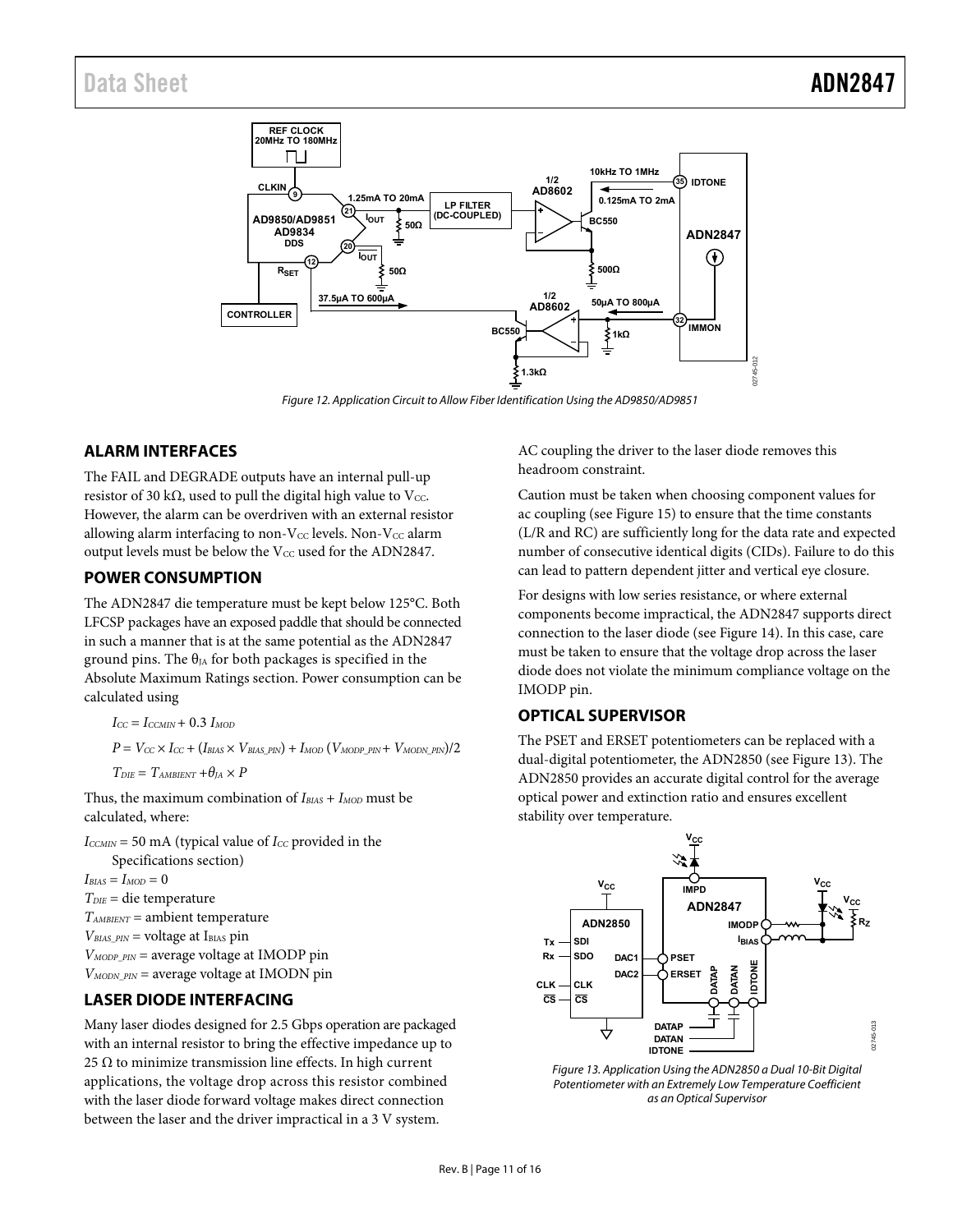<span id="page-10-1"></span><span id="page-10-0"></span>

Figure 12. Application Circuit to Allow Fiber Identification Using the AD9850/AD9851

#### <span id="page-10-3"></span>**ALARM INTERFACES**

The FAIL and DEGRADE outputs have an internal pull-up resistor of 30 kΩ, used to pull the digital high value to Vcc. However, the alarm can be overdriven with an external resistor allowing alarm interfacing to non- $V_{CC}$  levels. Non- $V_{CC}$  alarm output levels must be below the Vcc used for the ADN2847.

#### <span id="page-10-2"></span>**POWER CONSUMPTION**

The ADN2847 die temperature must be kept below 125°C. Both LFCSP packages have an exposed paddle that should be connected in such a manner that is at the same potential as the ADN2847 ground pins. The  $\theta_{JA}$  for both packages is specified in the [Absolute Maximum Ratings](#page-4-1) section. Power consumption can be calculated using

```
I_{CC} = I_{CCMIN} + 0.3 I_{MOD}
```
 $P = V_{CC} \times I_{CC} + (I_{BIAS} \times V_{BIAS\_PIN}) + I_{MOD} (V_{MODP\_PIN} + V_{MODN\_PIN})/2$ 

 $T_{DIE} = T_{AMBIENT} + \theta_{IA} \times P$ 

Thus, the maximum combination of *IBIAS* + *IMOD* must be calculated, where:

 $I_{CCMIN}$  = 50 mA (typical value of  $I_{CC}$  provided in the [Specifications](#page-2-1) section)  $I_{BIAS} = I_{MOD} = 0$ *TDIE* = die temperature *TAMBIENT* = ambient temperature  $V_{BIAS-PIN}$  = voltage at I<sub>BIAS</sub> pin *VMODP\_PIN* = average voltage at IMODP pin *VMODN\_PIN* = average voltage at IMODN pin

### **LASER DIODE INTERFACING**

<span id="page-10-4"></span>Many laser diodes designed for 2.5 Gbps operation are packaged with an internal resistor to bring the effective impedance up to 25  $\Omega$  to minimize transmission line effects. In high current applications, the voltage drop across this resistor combined with the laser diode forward voltage makes direct connection between the laser and the driver impractical in a 3 V system.

AC coupling the driver to the laser diode removes this headroom constraint.

Caution must be taken when choosing component values for ac coupling (see [Figure 15](#page-12-0)) to ensure that the time constants (L/R and RC) are sufficiently long for the data rate and expected number of consecutive identical digits (CIDs). Failure to do this can lead to pattern dependent jitter and vertical eye closure.

For designs with low series resistance, or where external components become impractical, the ADN2847 supports direct connection to the laser diode (see [Figure 14\)](#page-11-0). In this case, care must be taken to ensure that the voltage drop across the laser diode does not violate the minimum compliance voltage on the IMODP pin.

#### **OPTICAL SUPERVISOR**

The PSET and ERSET potentiometers can be replaced with a dual-digital potentiometer, the ADN2850 (see [Figure 13\)](#page-10-4). The ADN2850 provides an accurate digital control for the average optical power and extinction ratio and ensures excellent stability over temperature.



Figure 13. Application Using the ADN2850 a Dual 10-Bit Digital Potentiometer with an Extremely Low Temperature Coefficient as an Optical Supervisor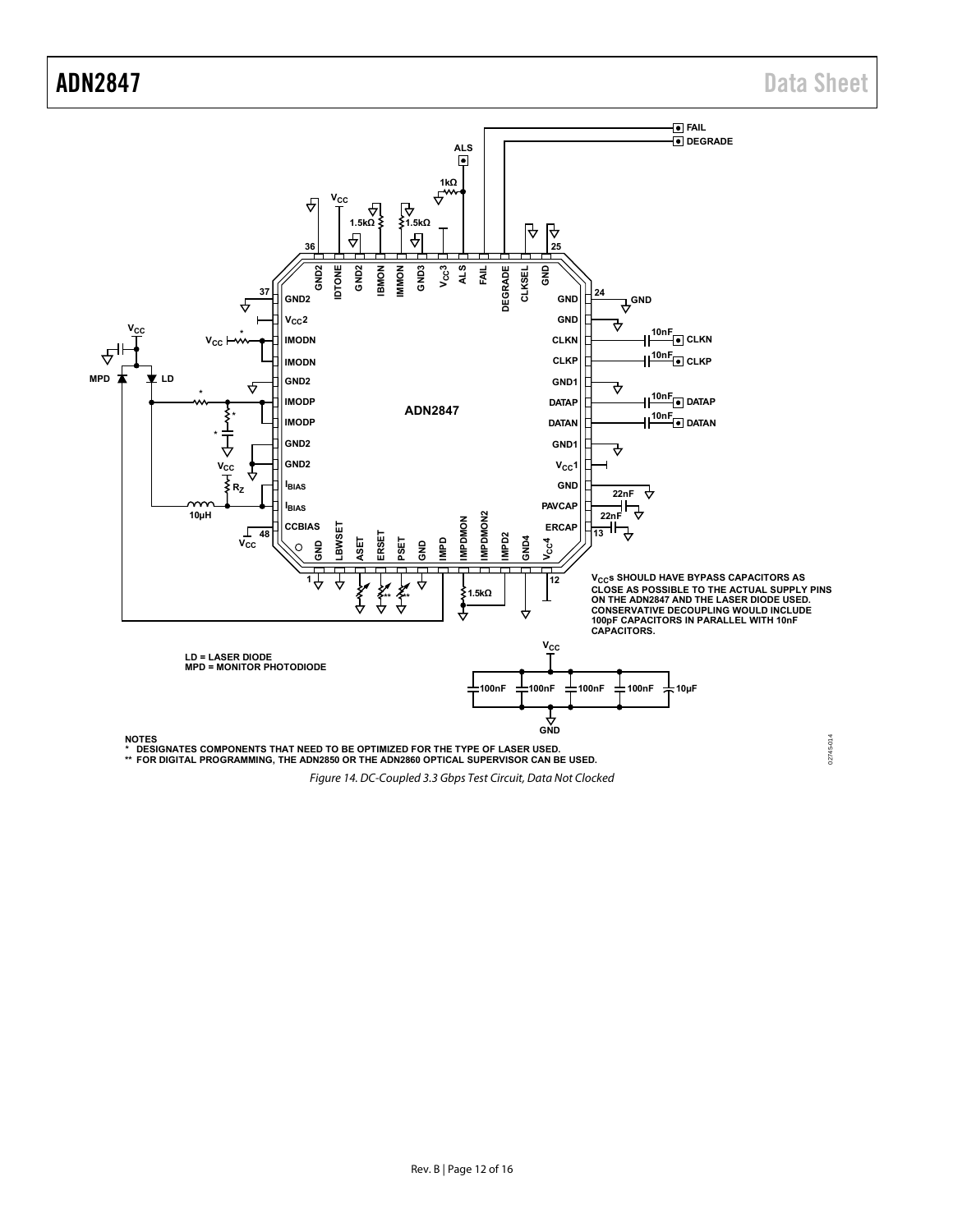ADN2847 Data Sheet



<span id="page-11-0"></span>Figure 14. DC-Coupled 3.3 Gbps Test Circuit, Data Not Clocked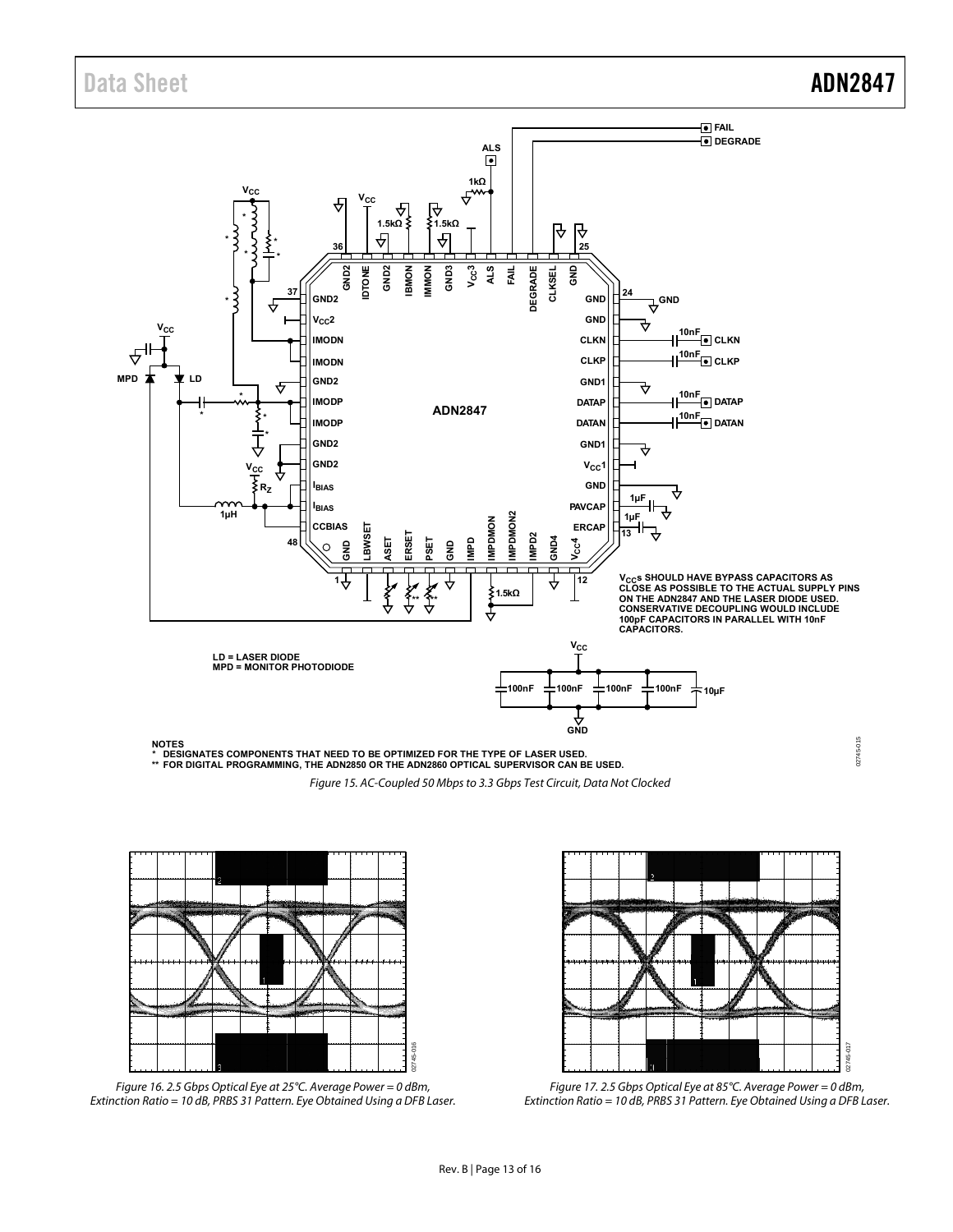

Figure 15. AC-Coupled 50 Mbps to 3.3 Gbps Test Circuit, Data Not Clocked

<span id="page-12-0"></span>

Figure 16. 2.5 Gbps Optical Eye at 25°C. Average Power = 0 dBm, Extinction Ratio = 10 dB, PRBS 31 Pattern. Eye Obtained Using a DFB Laser.



Figure 17. 2.5 Gbps Optical Eye at 85°C. Average Power = 0 dBm, Extinction Ratio = 10 dB, PRBS 31 Pattern. Eye Obtained Using a DFB Laser.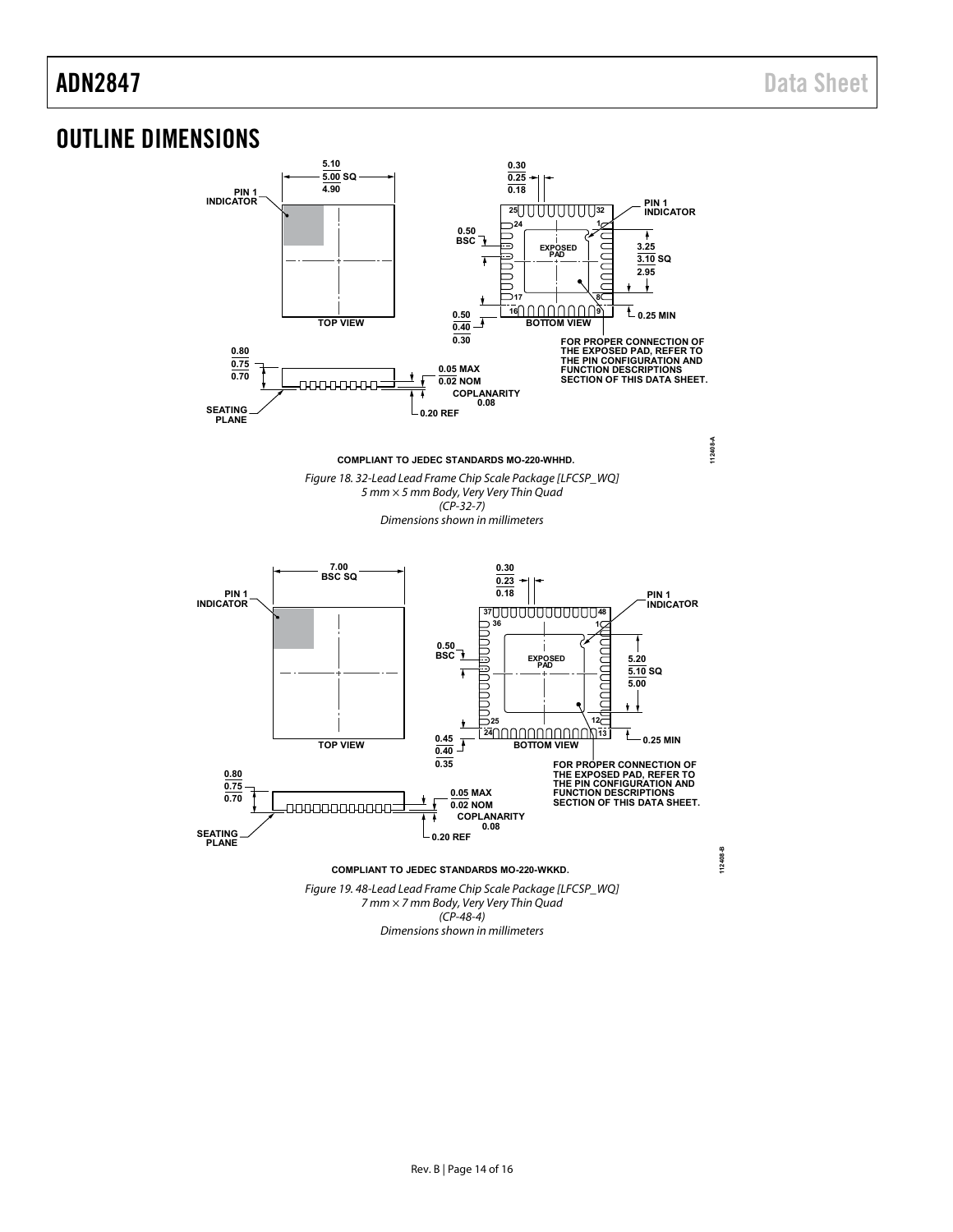## <span id="page-13-0"></span>OUTLINE DIMENSIONS

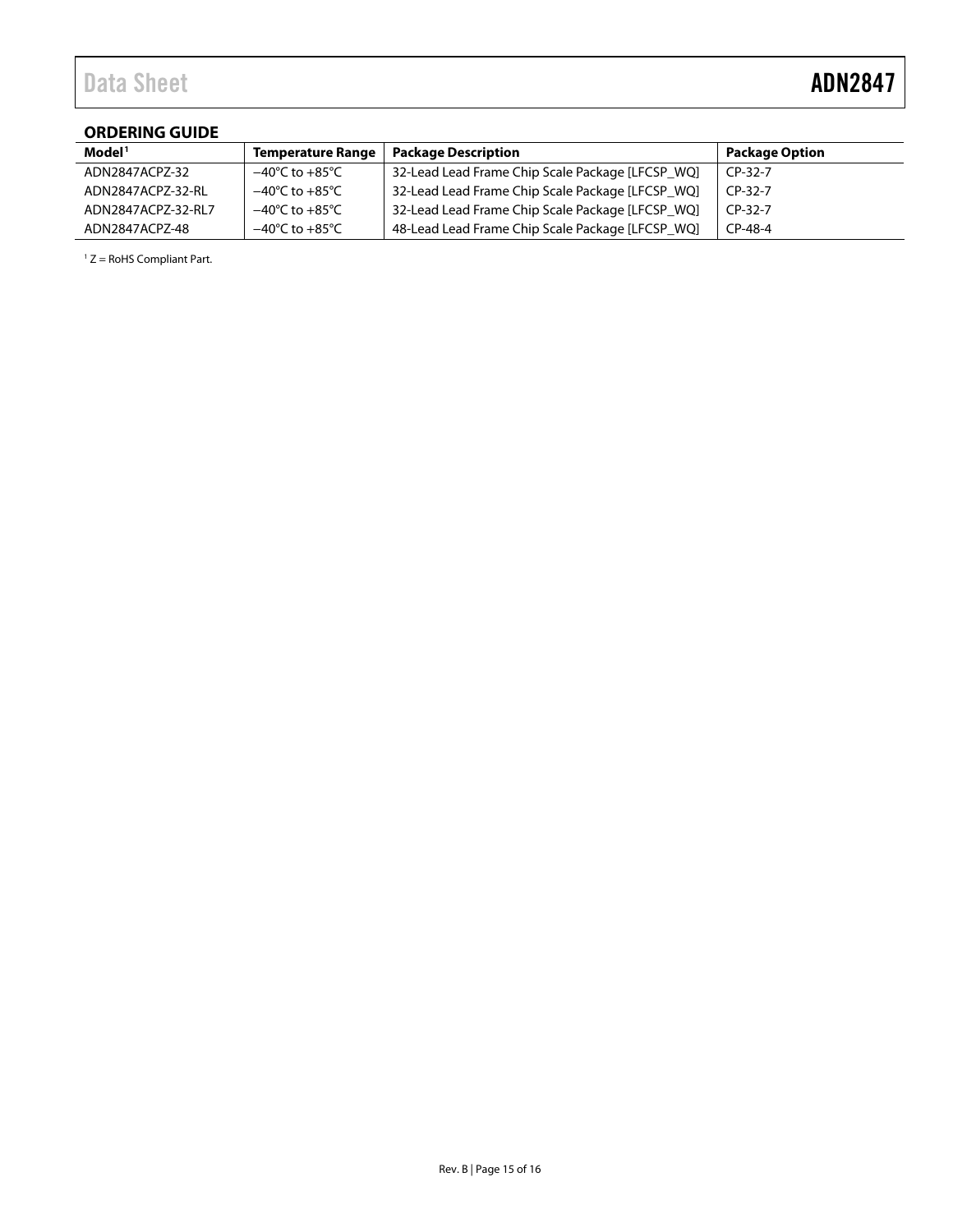### <span id="page-14-0"></span>**ORDERING GUIDE**

| Model <sup>1</sup> | <b>Temperature Range</b>           | <b>Package Description</b>                       | <b>Package Option</b> |
|--------------------|------------------------------------|--------------------------------------------------|-----------------------|
| ADN2847ACPZ-32     | $-40^{\circ}$ C to $+85^{\circ}$ C | 32-Lead Lead Frame Chip Scale Package [LFCSP WQ] | $CP-32-7$             |
| ADN2847ACPZ-32-RL  | $-40^{\circ}$ C to $+85^{\circ}$ C | 32-Lead Lead Frame Chip Scale Package [LFCSP WQ] | $CP-32-7$             |
| ADN2847ACPZ-32-RL7 | $-40^{\circ}$ C to $+85^{\circ}$ C | 32-Lead Lead Frame Chip Scale Package [LFCSP WQ] | $CP-32-7$             |
| ADN2847ACPZ-48     | $-40^{\circ}$ C to $+85^{\circ}$ C | 48-Lead Lead Frame Chip Scale Package [LFCSP WQ] | CP-48-4               |

 $1 Z =$  RoHS Compliant Part.

÷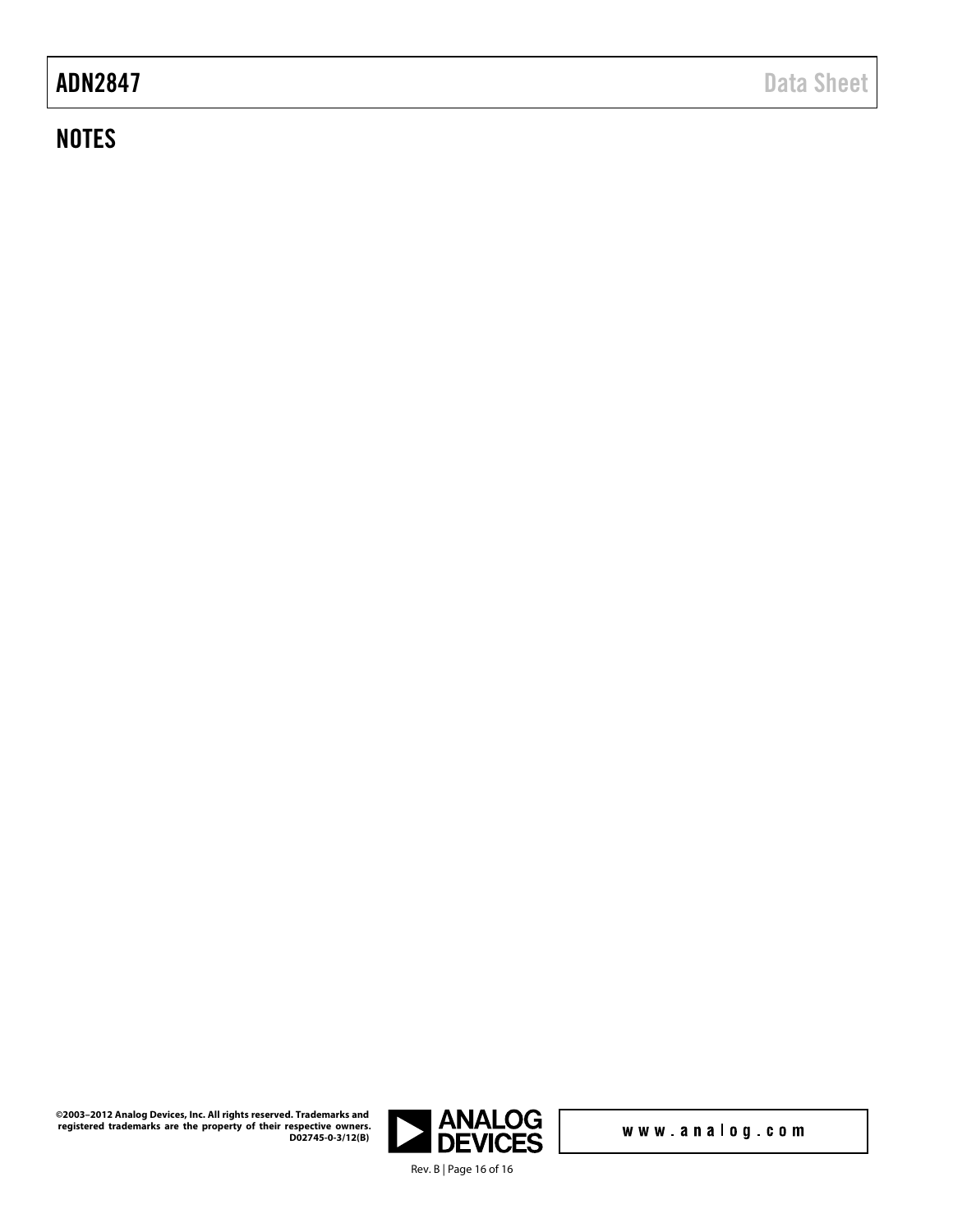# **NOTES**



www.analog.com

**©2003–2012 Analog Devices, Inc. All rights reserved. Trademarks and registered trademarks are the property of their respective owners. D02745-0-3/12(B)**